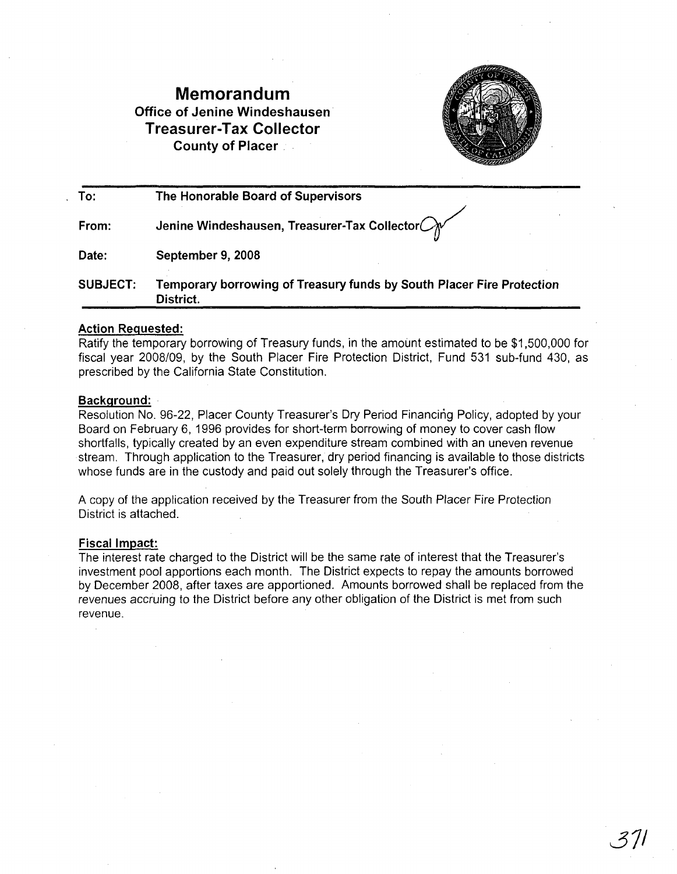# **Memorandum Office of Jenine Windeshausen Treasurer-Tax Collector County of Placer .**



| To:             | The Honorable Board of Supervisors                                                        |
|-----------------|-------------------------------------------------------------------------------------------|
| From:           | Jenine Windeshausen, Treasurer-Tax Collector $\bigcirc_{\mathcal{N}}$                     |
| Date:           | September 9, 2008                                                                         |
| <b>SUBJECT:</b> | Temporary borrowing of Treasury funds by South Placer Fire Protection<br><b>District.</b> |

#### **Action Requested:**

Ratify the temporary borrowing of Treasury funds, in the amount estimated to be \$1,500,000 for fiscal year 2008/09, by the South Placer Fire Protection District, Fund 531 sub-fund 430, as prescribed by the California State Constitution.

### **Background:**

Resolution No. 96-22, Placer County Treasurer's Dry Period Financing Policy, adopted by your Board on February 6, 1996 provides for short-term borrowing of money to cover cash flow shortfalls, typically created by an even expenditure stream combined with an uneven revenue stream. Through application to the Treasurer, dry period financing is available to those districts whose funds are in the custody and paid out solely through the Treasurer's office.

A copy of the application received by the Treasurer from the South Placer Fire Protection District is attached.

#### Fiscal Impact:

The interest rate charged to the District will be the same rate of interest that the Treasurer's investment pool apportions each month. The District expects to repay the amounts borrowed by December 2008, after taxes are apportioned. Amounts borrowed shall be replaced from the revenues accruing to the District before any other obligation of the District is met from such revenue.